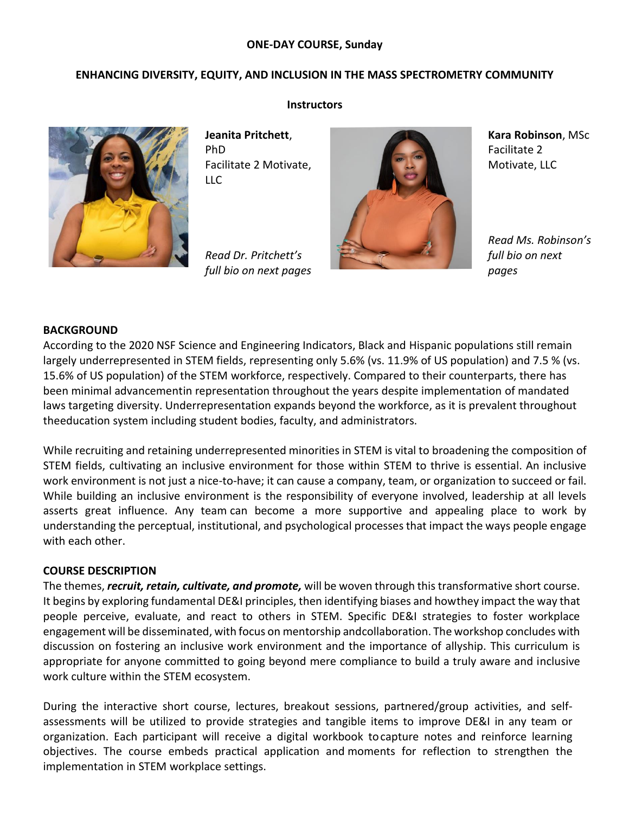## **ONE-DAY COURSE, Sunday**

## **ENHANCING DIVERSITY, EQUITY, AND INCLUSION IN THE MASS SPECTROMETRY COMMUNITY**



**Instructors**

**Jeanita Pritchett**, PhD Facilitate 2 Motivate, LLC

*Read Dr. Pritchett's full bio on next pages*



**Kara Robinson**, MSc Facilitate 2 Motivate, LLC

*Read Ms. Robinson's full bio on next pages*

## **BACKGROUND**

According to the 2020 NSF Science and Engineering Indicators, Black and Hispanic populations still remain largely underrepresented in STEM fields, representing only 5.6% (vs. 11.9% of US population) and 7.5 % (vs. 15.6% of US population) of the STEM workforce, respectively. Compared to their counterparts, there has been minimal advancementin representation throughout the years despite implementation of mandated laws targeting diversity. Underrepresentation expands beyond the workforce, as it is prevalent throughout theeducation system including student bodies, faculty, and administrators.

While recruiting and retaining underrepresented minorities in STEM is vital to broadening the composition of STEM fields, cultivating an inclusive environment for those within STEM to thrive is essential. An inclusive work environment is not just a nice-to-have; it can cause a company, team, or organization to succeed or fail. While building an inclusive environment is the responsibility of everyone involved, leadership at all levels asserts great influence. Any team can become a more supportive and appealing place to work by understanding the perceptual, institutional, and psychological processes that impact the ways people engage with each other.

#### **COURSE DESCRIPTION**

The themes, *recruit, retain, cultivate, and promote,* will be woven through this transformative short course. It begins by exploring fundamental DE&I principles, then identifying biases and howthey impact the way that people perceive, evaluate, and react to others in STEM. Specific DE&I strategies to foster workplace engagement will be disseminated, with focus on mentorship andcollaboration. The workshop concludes with discussion on fostering an inclusive work environment and the importance of allyship. This curriculum is appropriate for anyone committed to going beyond mere compliance to build a truly aware and inclusive work culture within the STEM ecosystem.

During the interactive short course, lectures, breakout sessions, partnered/group activities, and selfassessments will be utilized to provide strategies and tangible items to improve DE&I in any team or organization. Each participant will receive a digital workbook tocapture notes and reinforce learning objectives. The course embeds practical application and moments for reflection to strengthen the implementation in STEM workplace settings.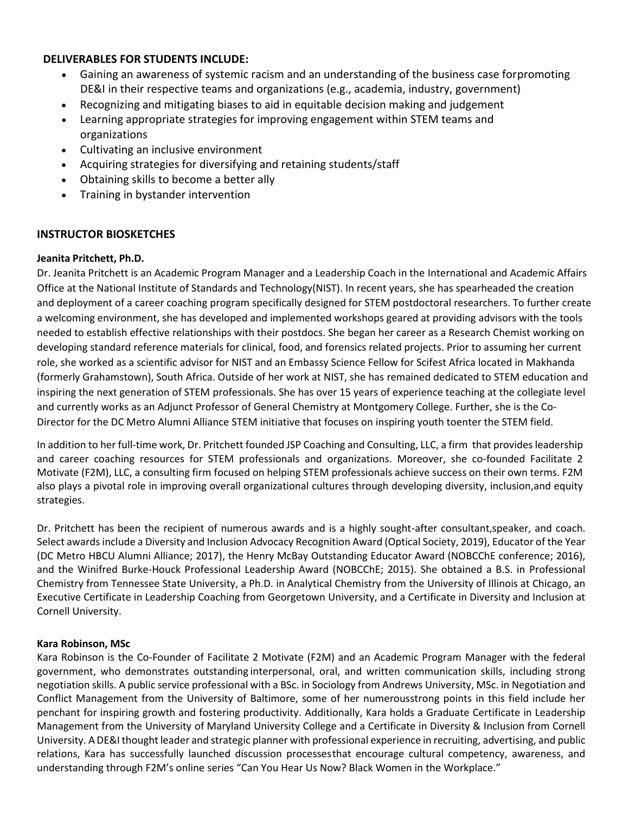# **DELIVERABLES FOR STUDENTS INCLUDE:**

- Gaining an awareness of systemic racism and an understanding of the business case forpromoting DE&I in their respective teams and organizations (e.g., academia, industry, government)
- Recognizing and mitigating biases to aid in equitable decision making and judgement
- Learning appropriate strategies for improving engagement within STEM teams and organizations
- Cultivating an inclusive environment
- Acquiring strategies for diversifying and retaining students/staff
- Obtaining skills to become a better ally
- Training in bystander intervention

# **INSTRUCTOR BIOSKETCHES**

## **Jeanita Pritchett, Ph.D.**

Dr. Jeanita Pritchett is an Academic Program Manager and a Leadership Coach in the International and Academic Affairs Office at the National Institute of Standards and Technology(NIST). In recent years, she has spearheaded the creation and deployment of a career coaching program specifically designed for STEM postdoctoral researchers. To further create a welcoming environment, she has developed and implemented workshops geared at providing advisors with the tools needed to establish effective relationships with their postdocs. She began her career as a Research Chemist working on developing standard reference materials for clinical, food, and forensics related projects. Prior to assuming her current role, she worked as a scientific advisor for NIST and an Embassy Science Fellow for Scifest Africa located in Makhanda (formerly Grahamstown), South Africa. Outside of her work at NIST, she has remained dedicated to STEM education and inspiring the next generation of STEM professionals. She has over 15 years of experience teaching at the collegiate level and currently works as an Adjunct Professor of General Chemistry at Montgomery College. Further, she is the Co-Director for the DC Metro Alumni Alliance STEM initiative that focuses on inspiring youth toenter the STEM field.

In addition to her full-time work, Dr. Pritchett founded JSP Coaching and Consulting, LLC, a firm that provides leadership and career coaching resources for STEM professionals and organizations. Moreover, she co-founded Facilitate 2 Motivate (F2M), LLC, a consulting firm focused on helping STEM professionals achieve success on their own terms. F2M also plays a pivotal role in improving overall organizational cultures through developing diversity, inclusion,and equity strategies.

Dr. Pritchett has been the recipient of numerous awards and is a highly sought-after consultant,speaker, and coach. Select awards include a Diversity and Inclusion Advocacy Recognition Award (Optical Society, 2019), Educator of the Year (DC Metro HBCU Alumni Alliance; 2017), the Henry McBay Outstanding Educator Award (NOBCChE conference; 2016), and the Winifred Burke-Houck Professional Leadership Award (NOBCChE; 2015). She obtained a B.S. in Professional Chemistry from Tennessee State University, a Ph.D. in Analytical Chemistry from the University of Illinois at Chicago, an Executive Certificate in Leadership Coaching from Georgetown University, and a Certificate in Diversity and Inclusion at Cornell University.

## **Kara Robinson, MSc**

Kara Robinson is the Co-Founder of Facilitate 2 Motivate (F2M) and an Academic Program Manager with the federal government, who demonstrates outstanding interpersonal, oral, and written communication skills, including strong negotiation skills. A public service professional with a BSc. in Sociology from Andrews University, MSc. in Negotiation and Conflict Management from the University of Baltimore, some of her numerousstrong points in this field include her penchant for inspiring growth and fostering productivity. Additionally, Kara holds a Graduate Certificate in Leadership Management from the University of Maryland University College and a Certificate in Diversity & Inclusion from Cornell University. A DE&Ithought leader and strategic planner with professional experience in recruiting, advertising, and public relations, Kara has successfully launched discussion processesthat encourage cultural competency, awareness, and understanding through F2M's online series "Can You Hear Us Now? Black Women in the Workplace."